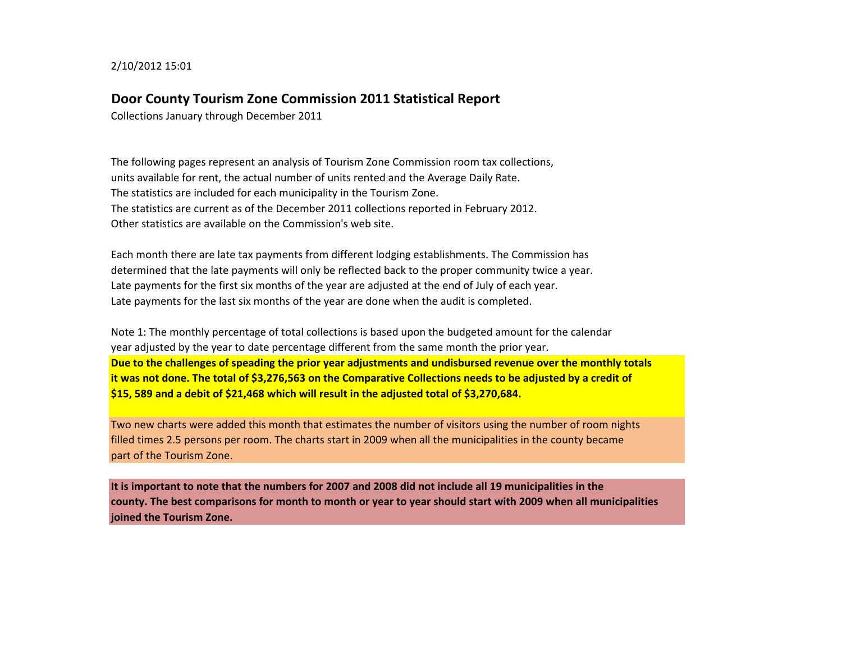2/10/2012 15:01

## **Door County Tourism Zone Commission 2011 Statistical Report**

Collections January through December 2011

The following pages represent an analysis of Tourism Zone Commission room tax collections, units available for rent, the actual number of units rented and the Average Daily Rate. The statistics are included for each municipality in the Tourism Zone. The statistics are current as of the December 2011 collections reported in February 2012. Other statistics are available on the Commission's web site.

Each month there are late tax payments from different lodging establishments. The Commission has determined that the late payments will only be reflected back to the proper community twice a year. Late payments for the first six months of the year are adjusted at the end of July of each year. Late payments for the last six months of the year are done when the audit is completed.

Note 1: The monthly percentage of total collections is based upon the budgeted amount for the calendar year adjusted by the year to date percentage different from the same month the prior year. **Due to the challenges of speading the prior year adjustments and undisbursed revenue over the monthly totals it was not done. The total of \$3,276,563 on the Comparative Collections needs to be adjusted by a credit of \$15, 589 and a debit of \$21,468 which will result in the adjusted total of \$3,270,684.**

Two new charts were added this month that estimates the number of visitors using the number of room nights filled times 2.5 persons per room. The charts start in 2009 when all the municipalities in the county became part of the Tourism Zone.

**It is important to note that the numbers for 2007 and 2008 did not include all 19 municipalities in the county. The best comparisons for month to month or year to year should start with 2009 when all municipalities joined the Tourism Zone.**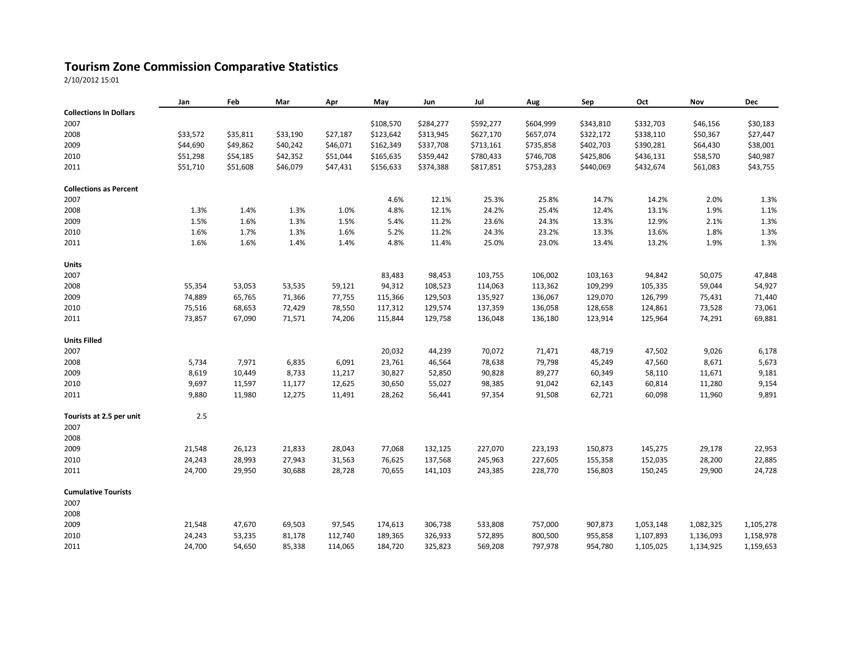## **Tourism Zone Commission Comparative Statistics**

2/10/2012 15:01

|                               | Jan      | Feb      | Mar      | Apr      | May       | Jun       | Jul       | Aug       | Sep       | Oct       | Nov       | Dec       |
|-------------------------------|----------|----------|----------|----------|-----------|-----------|-----------|-----------|-----------|-----------|-----------|-----------|
| <b>Collections In Dollars</b> |          |          |          |          |           |           |           |           |           |           |           |           |
| 2007                          |          |          |          |          | \$108,570 | \$284,277 | \$592,277 | \$604,999 | \$343,810 | \$332,703 | \$46,156  | \$30,183  |
| 2008                          | \$33,572 | \$35,811 | \$33,190 | \$27,187 | \$123,642 | \$313,945 | \$627,170 | \$657,074 | \$322,172 | \$338,110 | \$50,367  | \$27,447  |
| 2009                          | \$44,690 | \$49,862 | \$40,242 | \$46,071 | \$162,349 | \$337,708 | \$713,161 | \$735,858 | \$402,703 | \$390,281 | \$64,430  | \$38,001  |
| 2010                          | \$51,298 | \$54,185 | \$42,352 | \$51,044 | \$165,635 | \$359,442 | \$780,433 | \$746,708 | \$425,806 | \$436,131 | \$58,570  | \$40,987  |
| 2011                          | \$51,710 | \$51,608 | \$46,079 | \$47,431 | \$156,633 | \$374,388 | \$817,851 | \$753,283 | \$440,069 | \$432,674 | \$61,083  | \$43,755  |
| <b>Collections as Percent</b> |          |          |          |          |           |           |           |           |           |           |           |           |
| 2007                          |          |          |          |          | 4.6%      | 12.1%     | 25.3%     | 25.8%     | 14.7%     | 14.2%     | 2.0%      | 1.3%      |
| 2008                          | 1.3%     | 1.4%     | 1.3%     | 1.0%     | 4.8%      | 12.1%     | 24.2%     | 25.4%     | 12.4%     | 13.1%     | 1.9%      | 1.1%      |
| 2009                          | 1.5%     | 1.6%     | 1.3%     | 1.5%     | 5.4%      | 11.2%     | 23.6%     | 24.3%     | 13.3%     | 12.9%     | 2.1%      | 1.3%      |
| 2010                          | 1.6%     | 1.7%     | 1.3%     | 1.6%     | 5.2%      | 11.2%     | 24.3%     | 23.2%     | 13.3%     | 13.6%     | 1.8%      | 1.3%      |
| 2011                          | 1.6%     | 1.6%     | 1.4%     | 1.4%     | 4.8%      | 11.4%     | 25.0%     | 23.0%     | 13.4%     | 13.2%     | 1.9%      | 1.3%      |
| <b>Units</b>                  |          |          |          |          |           |           |           |           |           |           |           |           |
| 2007                          |          |          |          |          | 83,483    | 98,453    | 103,755   | 106,002   | 103,163   | 94,842    | 50,075    | 47,848    |
| 2008                          | 55,354   | 53,053   | 53,535   | 59,121   | 94,312    | 108,523   | 114,063   | 113,362   | 109,299   | 105,335   | 59,044    | 54,927    |
| 2009                          | 74,889   | 65,765   | 71,366   | 77,755   | 115,366   | 129,503   | 135,927   | 136,067   | 129,070   | 126,799   | 75,431    | 71,440    |
| 2010                          | 75,516   | 68,653   | 72,429   | 78,550   | 117,312   | 129,574   | 137,359   | 136,058   | 128,658   | 124,861   | 73,528    | 73,061    |
| 2011                          | 73,857   | 67,090   | 71,571   | 74,206   | 115,844   | 129,758   | 136,048   | 136,180   | 123,914   | 125,964   | 74,291    | 69,881    |
| <b>Units Filled</b>           |          |          |          |          |           |           |           |           |           |           |           |           |
| 2007                          |          |          |          |          | 20,032    | 44,239    | 70,072    | 71,471    | 48,719    | 47,502    | 9,026     | 6,178     |
| 2008                          | 5,734    | 7,971    | 6,835    | 6,091    | 23,761    | 46,564    | 78,638    | 79,798    | 45,249    | 47,560    | 8,671     | 5,673     |
| 2009                          | 8,619    | 10,449   | 8,733    | 11,217   | 30,827    | 52,850    | 90,828    | 89,277    | 60,349    | 58,110    | 11,671    | 9,181     |
| 2010                          | 9,697    | 11,597   | 11,177   | 12,625   | 30,650    | 55,027    | 98,385    | 91,042    | 62,143    | 60,814    | 11,280    | 9,154     |
| 2011                          | 9,880    | 11,980   | 12,275   | 11,491   | 28,262    | 56,441    | 97,354    | 91,508    | 62,721    | 60,098    | 11,960    | 9,891     |
| Tourists at 2.5 per unit      | 2.5      |          |          |          |           |           |           |           |           |           |           |           |
| 2007                          |          |          |          |          |           |           |           |           |           |           |           |           |
| 2008                          |          |          |          |          |           |           |           |           |           |           |           |           |
| 2009                          | 21,548   | 26,123   | 21,833   | 28,043   | 77,068    | 132,125   | 227,070   | 223,193   | 150,873   | 145,275   | 29,178    | 22,953    |
| 2010                          | 24,243   | 28,993   | 27,943   | 31,563   | 76,625    | 137,568   | 245,963   | 227,605   | 155,358   | 152,035   | 28,200    | 22,885    |
| 2011                          | 24,700   | 29,950   | 30,688   | 28,728   | 70,655    | 141,103   | 243,385   | 228,770   | 156,803   | 150,245   | 29,900    | 24,728    |
| <b>Cumulative Tourists</b>    |          |          |          |          |           |           |           |           |           |           |           |           |
| 2007                          |          |          |          |          |           |           |           |           |           |           |           |           |
| 2008                          |          |          |          |          |           |           |           |           |           |           |           |           |
| 2009                          | 21,548   | 47,670   | 69,503   | 97,545   | 174,613   | 306,738   | 533,808   | 757,000   | 907,873   | 1,053,148 | 1,082,325 | 1,105,278 |
| 2010                          | 24,243   | 53,235   | 81,178   | 112,740  | 189,365   | 326,933   | 572,895   | 800,500   | 955,858   | 1,107,893 | 1,136,093 | 1,158,978 |
| 2011                          | 24,700   | 54,650   | 85,338   | 114,065  | 184,720   | 325,823   | 569,208   | 797,978   | 954,780   | 1,105,025 | 1,134,925 | 1,159,653 |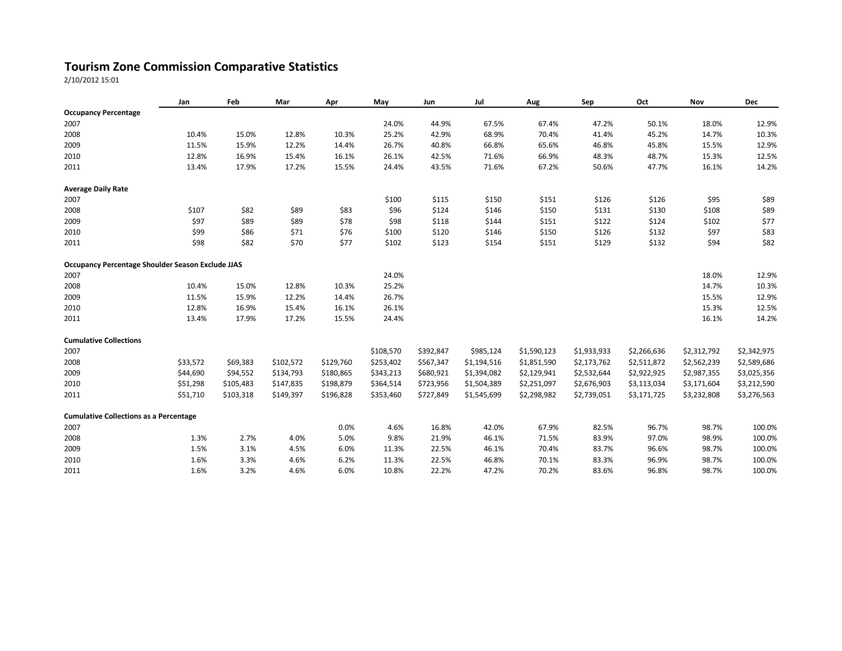## **Tourism Zone Commission Comparative Statistics**

2/10/2012 15:01

|                                                          | Jan      | Feb       | Mar       | Apr       | May       | Jun       | Jul         | Aug         | Sep         | Oct         | Nov         | <b>Dec</b>  |
|----------------------------------------------------------|----------|-----------|-----------|-----------|-----------|-----------|-------------|-------------|-------------|-------------|-------------|-------------|
| <b>Occupancy Percentage</b>                              |          |           |           |           |           |           |             |             |             |             |             |             |
| 2007                                                     |          |           |           |           | 24.0%     | 44.9%     | 67.5%       | 67.4%       | 47.2%       | 50.1%       | 18.0%       | 12.9%       |
| 2008                                                     | 10.4%    | 15.0%     | 12.8%     | 10.3%     | 25.2%     | 42.9%     | 68.9%       | 70.4%       | 41.4%       | 45.2%       | 14.7%       | 10.3%       |
| 2009                                                     | 11.5%    | 15.9%     | 12.2%     | 14.4%     | 26.7%     | 40.8%     | 66.8%       | 65.6%       | 46.8%       | 45.8%       | 15.5%       | 12.9%       |
| 2010                                                     | 12.8%    | 16.9%     | 15.4%     | 16.1%     | 26.1%     | 42.5%     | 71.6%       | 66.9%       | 48.3%       | 48.7%       | 15.3%       | 12.5%       |
| 2011                                                     | 13.4%    | 17.9%     | 17.2%     | 15.5%     | 24.4%     | 43.5%     | 71.6%       | 67.2%       | 50.6%       | 47.7%       | 16.1%       | 14.2%       |
| <b>Average Daily Rate</b>                                |          |           |           |           |           |           |             |             |             |             |             |             |
| 2007                                                     |          |           |           |           | \$100     | \$115     | \$150       | \$151       | \$126       | \$126       | \$95        | \$89        |
| 2008                                                     | \$107    | \$82      | \$89      | \$83      | \$96      | \$124     | \$146       | \$150       | \$131       | \$130       | \$108       | \$89        |
| 2009                                                     | \$97     | \$89      | \$89      | \$78      | \$98      | \$118     | \$144       | \$151       | \$122       | \$124       | \$102       | \$77        |
| 2010                                                     | \$99     | \$86      | \$71      | \$76      | \$100     | \$120     | \$146       | \$150       | \$126       | \$132       | \$97        | \$83        |
| 2011                                                     | \$98     | \$82      | \$70      | \$77      | \$102     | \$123     | \$154       | \$151       | \$129       | \$132       | \$94        | \$82        |
| <b>Occupancy Percentage Shoulder Season Exclude JJAS</b> |          |           |           |           |           |           |             |             |             |             |             |             |
| 2007                                                     |          |           |           |           | 24.0%     |           |             |             |             |             | 18.0%       | 12.9%       |
| 2008                                                     | 10.4%    | 15.0%     | 12.8%     | 10.3%     | 25.2%     |           |             |             |             |             | 14.7%       | 10.3%       |
| 2009                                                     | 11.5%    | 15.9%     | 12.2%     | 14.4%     | 26.7%     |           |             |             |             |             | 15.5%       | 12.9%       |
| 2010                                                     | 12.8%    | 16.9%     | 15.4%     | 16.1%     | 26.1%     |           |             |             |             |             | 15.3%       | 12.5%       |
| 2011                                                     | 13.4%    | 17.9%     | 17.2%     | 15.5%     | 24.4%     |           |             |             |             |             | 16.1%       | 14.2%       |
| <b>Cumulative Collections</b>                            |          |           |           |           |           |           |             |             |             |             |             |             |
| 2007                                                     |          |           |           |           | \$108,570 | \$392,847 | \$985,124   | \$1,590,123 | \$1,933,933 | \$2,266,636 | \$2,312,792 | \$2,342,975 |
| 2008                                                     | \$33,572 | \$69,383  | \$102,572 | \$129,760 | \$253,402 | \$567,347 | \$1,194,516 | \$1,851,590 | \$2,173,762 | \$2,511,872 | \$2,562,239 | \$2,589,686 |
| 2009                                                     | \$44,690 | \$94,552  | \$134,793 | \$180,865 | \$343,213 | \$680,921 | \$1,394,082 | \$2,129,941 | \$2,532,644 | \$2,922,925 | \$2,987,355 | \$3,025,356 |
| 2010                                                     | \$51,298 | \$105,483 | \$147,835 | \$198,879 | \$364,514 | \$723,956 | \$1,504,389 | \$2,251,097 | \$2,676,903 | \$3,113,034 | \$3,171,604 | \$3,212,590 |
| 2011                                                     | \$51,710 | \$103,318 | \$149,397 | \$196,828 | \$353,460 | \$727,849 | \$1,545,699 | \$2,298,982 | \$2,739,051 | \$3,171,725 | \$3,232,808 | \$3,276,563 |
| <b>Cumulative Collections as a Percentage</b>            |          |           |           |           |           |           |             |             |             |             |             |             |
| 2007                                                     |          |           |           | 0.0%      | 4.6%      | 16.8%     | 42.0%       | 67.9%       | 82.5%       | 96.7%       | 98.7%       | 100.0%      |
| 2008                                                     | 1.3%     | 2.7%      | 4.0%      | 5.0%      | 9.8%      | 21.9%     | 46.1%       | 71.5%       | 83.9%       | 97.0%       | 98.9%       | 100.0%      |
| 2009                                                     | 1.5%     | 3.1%      | 4.5%      | 6.0%      | 11.3%     | 22.5%     | 46.1%       | 70.4%       | 83.7%       | 96.6%       | 98.7%       | 100.0%      |
| 2010                                                     | 1.6%     | 3.3%      | 4.6%      | 6.2%      | 11.3%     | 22.5%     | 46.8%       | 70.1%       | 83.3%       | 96.9%       | 98.7%       | 100.0%      |
| 2011                                                     | 1.6%     | 3.2%      | 4.6%      | 6.0%      | 10.8%     | 22.2%     | 47.2%       | 70.2%       | 83.6%       | 96.8%       | 98.7%       | 100.0%      |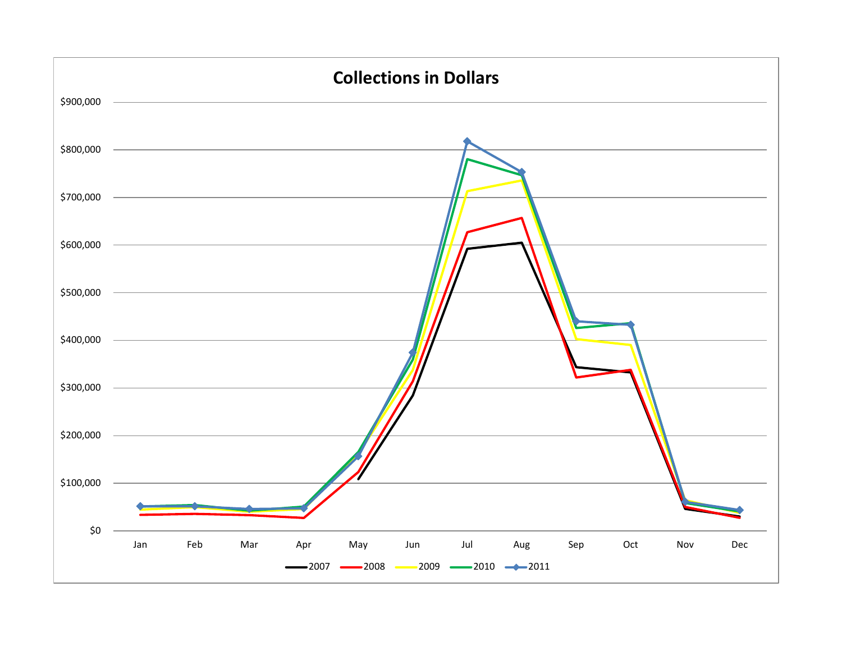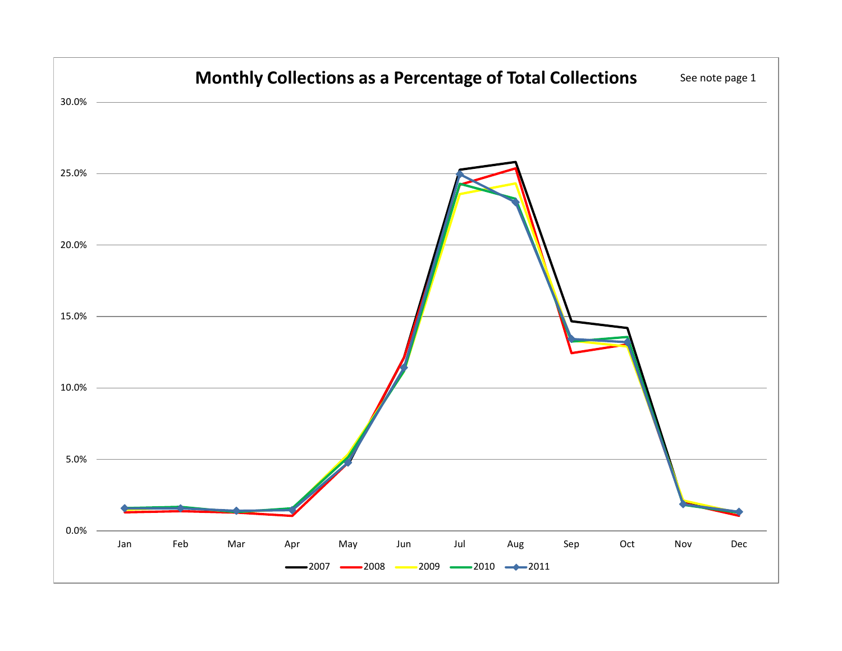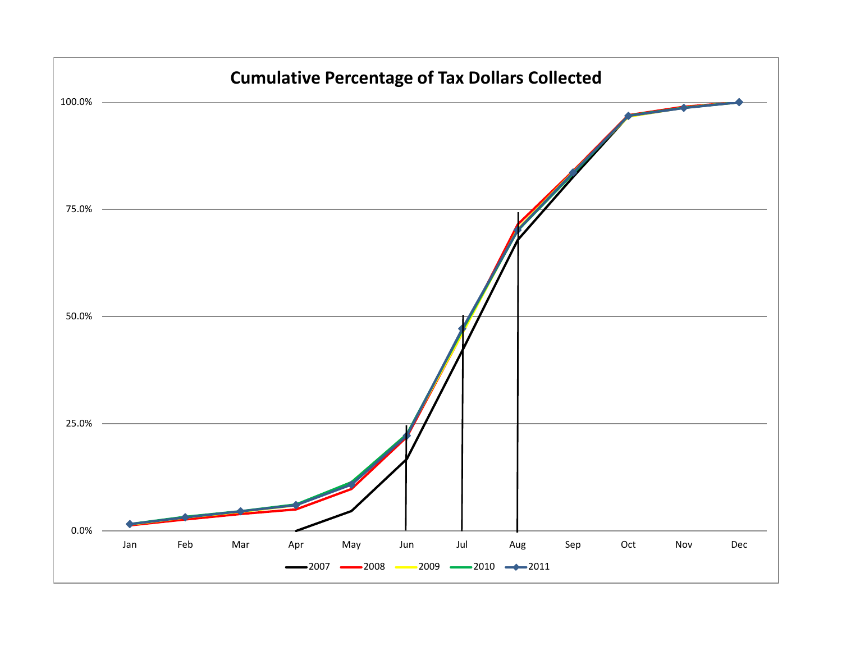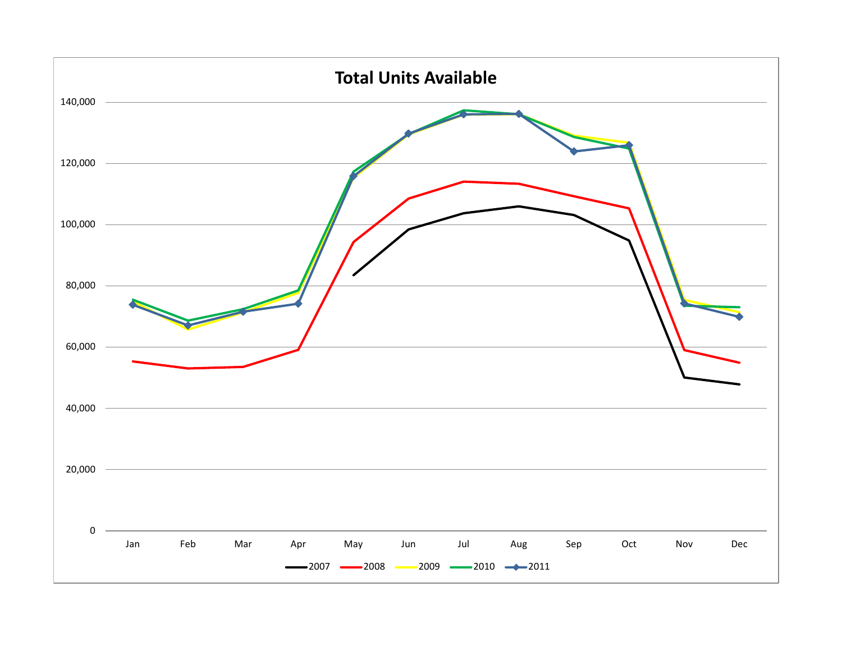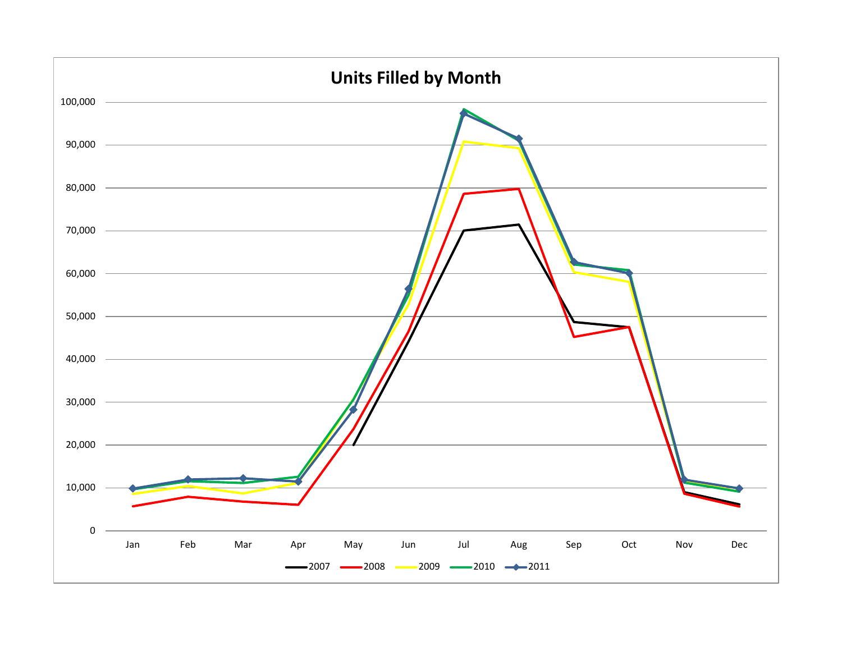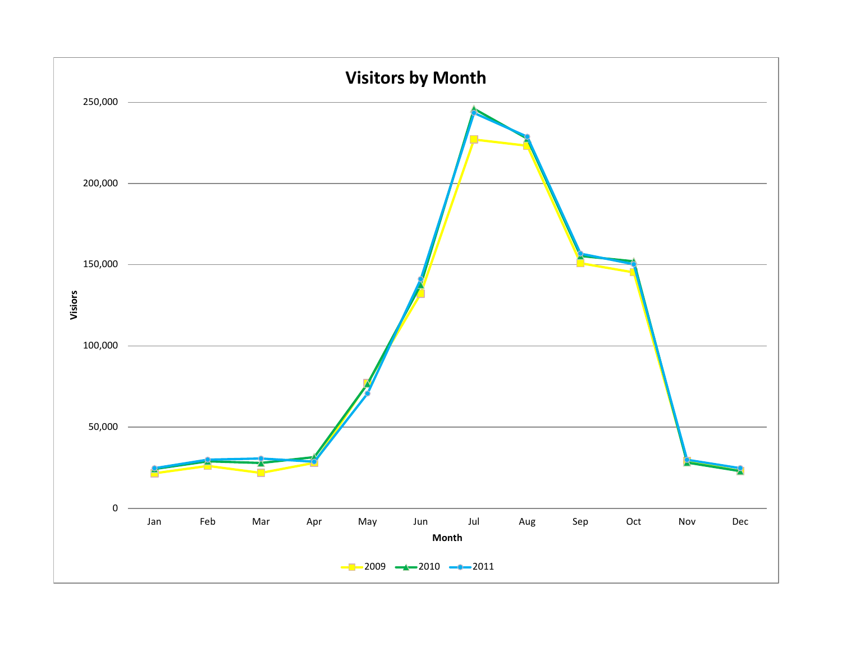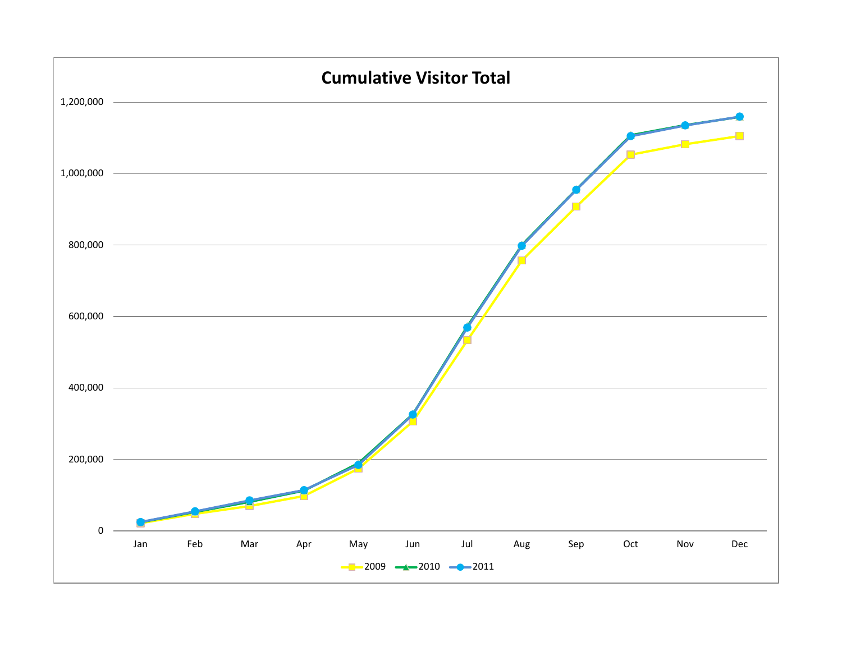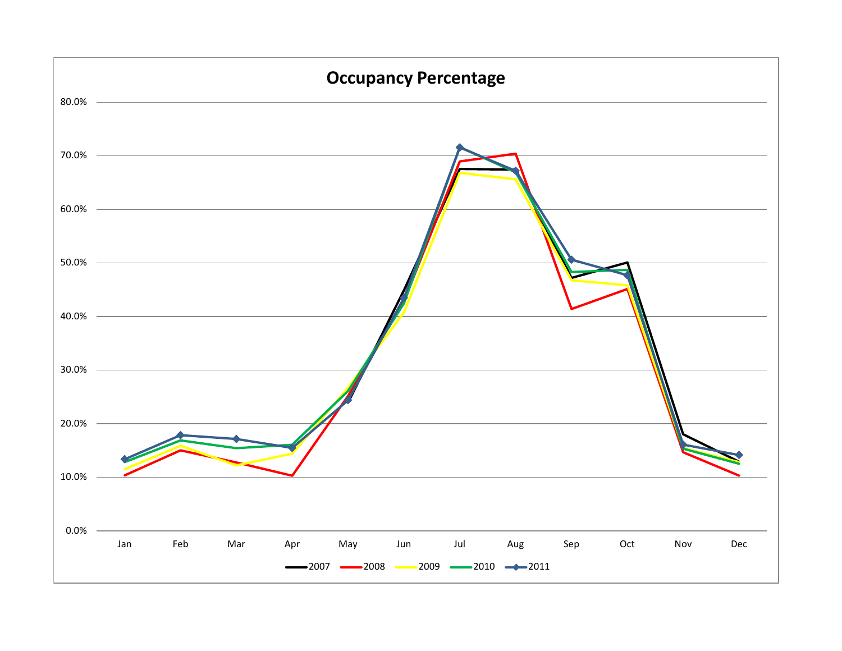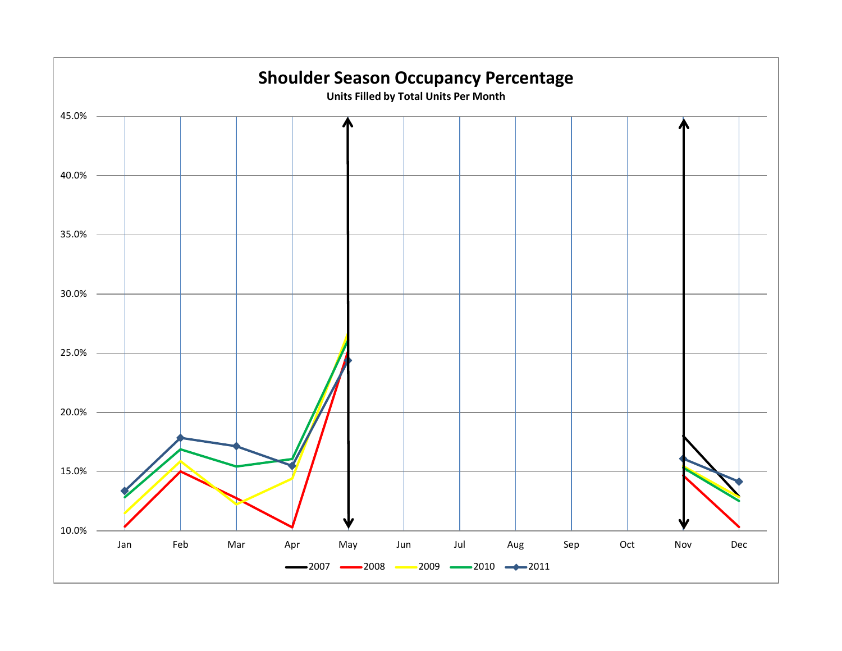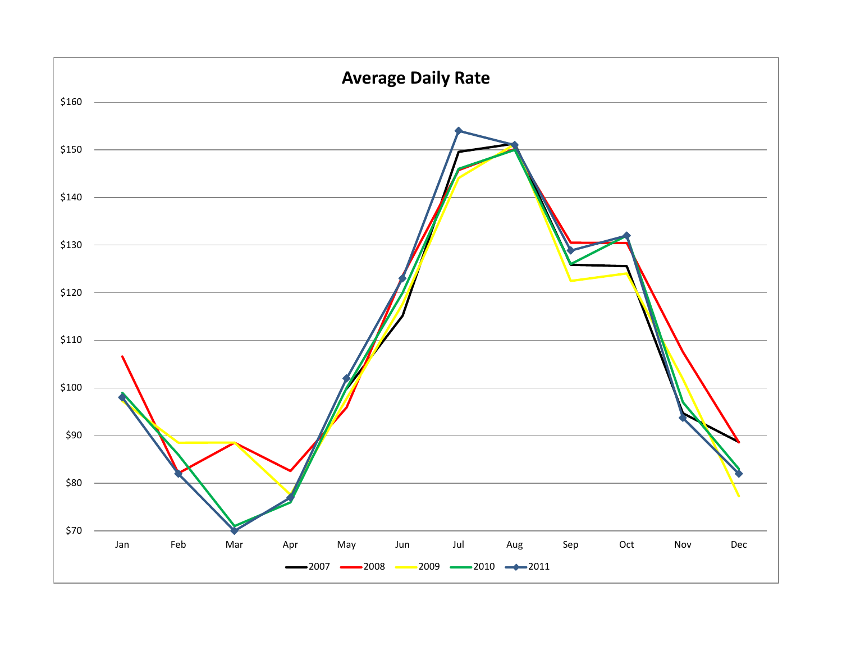